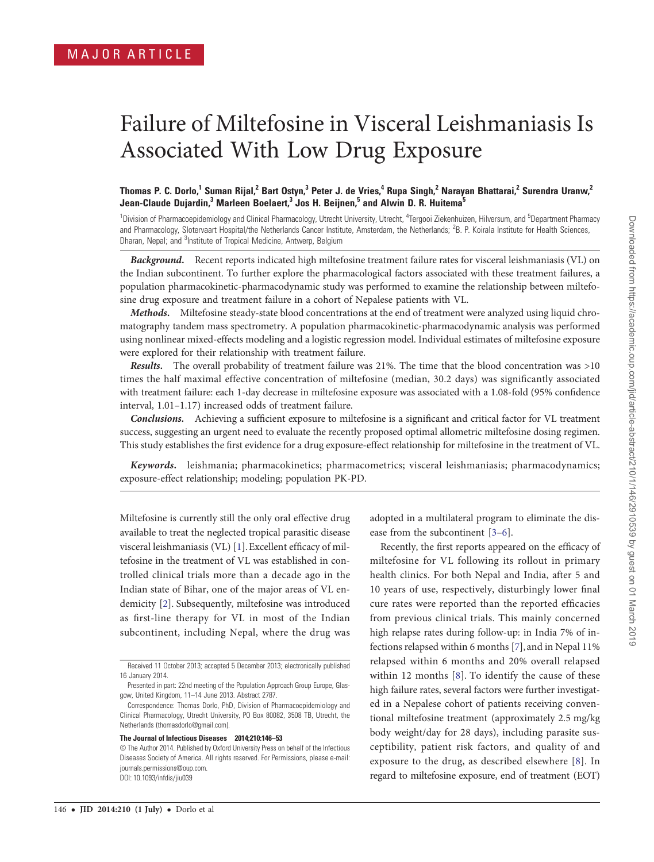# Failure of Miltefosine in Visceral Leishmaniasis Is Associated With Low Drug Exposure

## Thomas P. C. Dorlo,<sup>1</sup> Suman Rijal,<sup>2</sup> Bart Ostyn,<sup>3</sup> Peter J. de Vries,<sup>4</sup> Rupa Singh,<sup>2</sup> Narayan Bhattarai,<sup>2</sup> Surendra Uranw,<sup>2</sup> Jean-Claude Dujardin,<sup>3</sup> Marleen Boelaert,<sup>3</sup> Jos H. Beijnen,<sup>5</sup> and Alwin D. R. Huitema<sup>5</sup>

<sup>1</sup> Division of Pharmacoepidemiology and Clinical Pharmacology, Utrecht University, Utrecht, <sup>4</sup>Tergooi Ziekenhuizen, Hilversum, and <sup>5</sup>Department Pharmacy and Pharmacology, Slotervaart Hospital/the Netherlands Cancer Institute, Amsterdam, the Netherlands; <sup>2</sup>B. P. Koirala Institute for Health Sciences, Dharan, Nepal; and <sup>3</sup>Institute of Tropical Medicine, Antwerp, Belgium

Background. Recent reports indicated high miltefosine treatment failure rates for visceral leishmaniasis (VL) on the Indian subcontinent. To further explore the pharmacological factors associated with these treatment failures, a population pharmacokinetic-pharmacodynamic study was performed to examine the relationship between miltefosine drug exposure and treatment failure in a cohort of Nepalese patients with VL.

Methods. Miltefosine steady-state blood concentrations at the end of treatment were analyzed using liquid chromatography tandem mass spectrometry. A population pharmacokinetic-pharmacodynamic analysis was performed using nonlinear mixed-effects modeling and a logistic regression model. Individual estimates of miltefosine exposure were explored for their relationship with treatment failure.

Results. The overall probability of treatment failure was 21%. The time that the blood concentration was >10 times the half maximal effective concentration of miltefosine (median, 30.2 days) was significantly associated with treatment failure: each 1-day decrease in miltefosine exposure was associated with a 1.08-fold (95% confidence interval, 1.01–1.17) increased odds of treatment failure.

Conclusions. Achieving a sufficient exposure to miltefosine is a significant and critical factor for VL treatment success, suggesting an urgent need to evaluate the recently proposed optimal allometric miltefosine dosing regimen. This study establishes the first evidence for a drug exposure-effect relationship for miltefosine in the treatment of VL.

Keywords. leishmania; pharmacokinetics; pharmacometrics; visceral leishmaniasis; pharmacodynamics; exposure-effect relationship; modeling; population PK-PD.

Miltefosine is currently still the only oral effective drug available to treat the neglected tropical parasitic disease visceral leishmaniasis (VL) [[1\]](#page-6-0). Excellent efficacy of miltefosine in the treatment of VL was established in controlled clinical trials more than a decade ago in the Indian state of Bihar, one of the major areas of VL endemicity [[2\]](#page-6-0). Subsequently, miltefosine was introduced as first-line therapy for VL in most of the Indian subcontinent, including Nepal, where the drug was

#### The Journal of Infectious Diseases 2014;210:146–53

adopted in a multilateral program to eliminate the disease from the subcontinent [[3](#page-6-0)–[6\]](#page-6-0).

Recently, the first reports appeared on the efficacy of miltefosine for VL following its rollout in primary health clinics. For both Nepal and India, after 5 and 10 years of use, respectively, disturbingly lower final cure rates were reported than the reported efficacies from previous clinical trials. This mainly concerned high relapse rates during follow-up: in India 7% of infections relapsed within 6 months [\[7\]](#page-6-0), and in Nepal 11% relapsed within 6 months and 20% overall relapsed within 12 months [[8](#page-6-0)]. To identify the cause of these high failure rates, several factors were further investigated in a Nepalese cohort of patients receiving conventional miltefosine treatment (approximately 2.5 mg/kg body weight/day for 28 days), including parasite susceptibility, patient risk factors, and quality of and exposure to the drug, as described elsewhere [[8](#page-6-0)]. In regard to miltefosine exposure, end of treatment (EOT)

Received 11 October 2013; accepted 5 December 2013; electronically published 16 January 2014.

Presented in part: 22nd meeting of the Population Approach Group Europe, Glasgow, United Kingdom, 11–14 June 2013. Abstract 2787.

Correspondence: Thomas Dorlo, PhD, Division of Pharmacoepidemiology and Clinical Pharmacology, Utrecht University, PO Box 80082, 3508 TB, Utrecht, the Netherlands [\(thomasdorlo@gmail.com\)](mailto:thomasdorlo@gmail.com).

<sup>©</sup> The Author 2014. Published by Oxford University Press on behalf of the Infectious Diseases Society of America. All rights reserved. For Permissions, please e-mail: [journals.permissions@oup.com](mailto:journals.permissions@oup.com). DOI: 10.1093/infdis/jiu039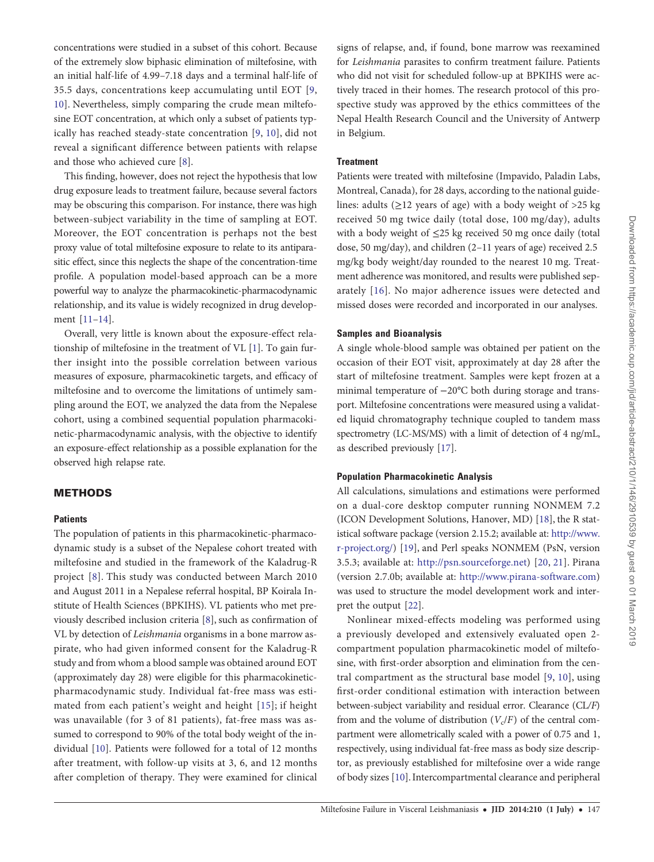concentrations were studied in a subset of this cohort. Because of the extremely slow biphasic elimination of miltefosine, with an initial half-life of 4.99–7.18 days and a terminal half-life of 35.5 days, concentrations keep accumulating until EOT [[9,](#page-6-0) [10](#page-7-0)]. Nevertheless, simply comparing the crude mean miltefosine EOT concentration, at which only a subset of patients typically has reached steady-state concentration [[9,](#page-6-0) [10\]](#page-7-0), did not reveal a significant difference between patients with relapse and those who achieved cure [[8](#page-6-0)].

This finding, however, does not reject the hypothesis that low drug exposure leads to treatment failure, because several factors may be obscuring this comparison. For instance, there was high between-subject variability in the time of sampling at EOT. Moreover, the EOT concentration is perhaps not the best proxy value of total miltefosine exposure to relate to its antiparasitic effect, since this neglects the shape of the concentration-time profile. A population model-based approach can be a more powerful way to analyze the pharmacokinetic-pharmacodynamic relationship, and its value is widely recognized in drug development [\[11](#page-7-0)–[14](#page-7-0)].

Overall, very little is known about the exposure-effect relationship of miltefosine in the treatment of VL [\[1\]](#page-6-0). To gain further insight into the possible correlation between various measures of exposure, pharmacokinetic targets, and efficacy of miltefosine and to overcome the limitations of untimely sampling around the EOT, we analyzed the data from the Nepalese cohort, using a combined sequential population pharmacokinetic-pharmacodynamic analysis, with the objective to identify an exposure-effect relationship as a possible explanation for the observed high relapse rate.

## METHODS

#### **Patients**

The population of patients in this pharmacokinetic-pharmacodynamic study is a subset of the Nepalese cohort treated with miltefosine and studied in the framework of the Kaladrug-R project [[8](#page-6-0)]. This study was conducted between March 2010 and August 2011 in a Nepalese referral hospital, BP Koirala Institute of Health Sciences (BPKIHS). VL patients who met previously described inclusion criteria [[8](#page-6-0)], such as confirmation of VL by detection of Leishmania organisms in a bone marrow aspirate, who had given informed consent for the Kaladrug-R study and from whom a blood sample was obtained around EOT (approximately day 28) were eligible for this pharmacokineticpharmacodynamic study. Individual fat-free mass was estimated from each patient's weight and height [[15](#page-7-0)]; if height was unavailable (for 3 of 81 patients), fat-free mass was assumed to correspond to 90% of the total body weight of the individual [[10\]](#page-7-0). Patients were followed for a total of 12 months after treatment, with follow-up visits at 3, 6, and 12 months after completion of therapy. They were examined for clinical signs of relapse, and, if found, bone marrow was reexamined for Leishmania parasites to confirm treatment failure. Patients who did not visit for scheduled follow-up at BPKIHS were actively traced in their homes. The research protocol of this prospective study was approved by the ethics committees of the Nepal Health Research Council and the University of Antwerp in Belgium.

#### **Treatment**

Patients were treated with miltefosine (Impavido, Paladin Labs, Montreal, Canada), for 28 days, according to the national guidelines: adults  $(\geq 12$  years of age) with a body weight of  $>25$  kg received 50 mg twice daily (total dose, 100 mg/day), adults with a body weight of ≤25 kg received 50 mg once daily (total dose, 50 mg/day), and children (2–11 years of age) received 2.5 mg/kg body weight/day rounded to the nearest 10 mg. Treatment adherence was monitored, and results were published separately [\[16](#page-7-0)]. No major adherence issues were detected and missed doses were recorded and incorporated in our analyses.

#### Samples and Bioanalysis

A single whole-blood sample was obtained per patient on the occasion of their EOT visit, approximately at day 28 after the start of miltefosine treatment. Samples were kept frozen at a minimal temperature of −20°C both during storage and transport. Miltefosine concentrations were measured using a validated liquid chromatography technique coupled to tandem mass spectrometry (LC-MS/MS) with a limit of detection of 4 ng/mL, as described previously [\[17](#page-7-0)].

#### Population Pharmacokinetic Analysis

All calculations, simulations and estimations were performed on a dual-core desktop computer running NONMEM 7.2 (ICON Development Solutions, Hanover, MD) [[18\]](#page-7-0), the R statistical software package (version 2.15.2; available at: [http://www.](http://www.r-project.org/) [r-project.org/\)](http://www.r-project.org/) [[19\]](#page-7-0), and Perl speaks NONMEM (PsN, version 3.5.3; available at: <http://psn.sourceforge.net>) [\[20,](#page-7-0) [21\]](#page-7-0). Pirana (version 2.7.0b; available at: [http://www.pirana-software.com\)](http://www.pirana-software.com) was used to structure the model development work and interpret the output [[22\]](#page-7-0).

Nonlinear mixed-effects modeling was performed using a previously developed and extensively evaluated open 2 compartment population pharmacokinetic model of miltefosine, with first-order absorption and elimination from the central compartment as the structural base model [[9,](#page-6-0) [10\]](#page-7-0), using first-order conditional estimation with interaction between between-subject variability and residual error. Clearance (CL/F) from and the volume of distribution  $(V_c/F)$  of the central compartment were allometrically scaled with a power of 0.75 and 1, respectively, using individual fat-free mass as body size descriptor, as previously established for miltefosine over a wide range of body sizes [[10\]](#page-7-0). Intercompartmental clearance and peripheral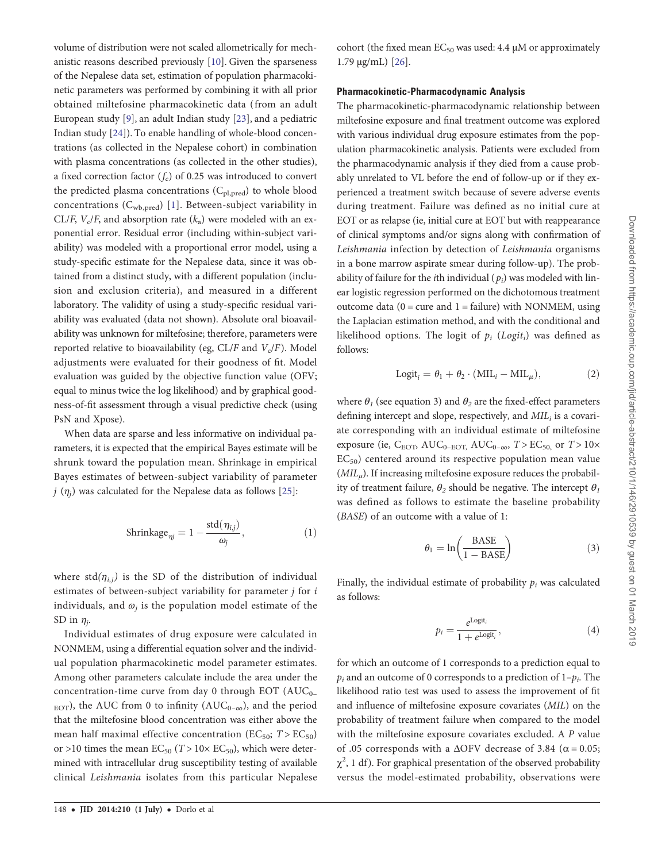volume of distribution were not scaled allometrically for mechanistic reasons described previously [[10\]](#page-7-0). Given the sparseness of the Nepalese data set, estimation of population pharmacokinetic parameters was performed by combining it with all prior obtained miltefosine pharmacokinetic data (from an adult European study [[9](#page-6-0)], an adult Indian study [[23\]](#page-7-0), and a pediatric Indian study [[24\]](#page-7-0)). To enable handling of whole-blood concentrations (as collected in the Nepalese cohort) in combination with plasma concentrations (as collected in the other studies), a fixed correction factor  $(f_c)$  of 0.25 was introduced to convert the predicted plasma concentrations  $(C_{pl,pred})$  to whole blood concentrations  $(C_{wb,pred})$  [[1\]](#page-6-0). Between-subject variability in CL/F,  $V_c$ /F, and absorption rate  $(k_a)$  were modeled with an exponential error. Residual error (including within-subject variability) was modeled with a proportional error model, using a study-specific estimate for the Nepalese data, since it was obtained from a distinct study, with a different population (inclusion and exclusion criteria), and measured in a different laboratory. The validity of using a study-specific residual variability was evaluated (data not shown). Absolute oral bioavailability was unknown for miltefosine; therefore, parameters were reported relative to bioavailability (eg,  $CL/F$  and  $V_c/F$ ). Model adjustments were evaluated for their goodness of fit. Model evaluation was guided by the objective function value (OFV; equal to minus twice the log likelihood) and by graphical goodness-of-fit assessment through a visual predictive check (using PsN and Xpose).

When data are sparse and less informative on individual parameters, it is expected that the empirical Bayes estimate will be shrunk toward the population mean. Shrinkage in empirical Bayes estimates of between-subject variability of parameter j ( $\eta$ <sub>i</sub>) was calculated for the Nepalese data as follows [\[25](#page-7-0)]:

$$
\text{Shrinkage}_{\eta j} = 1 - \frac{\text{std}(\eta_{i,j})}{\omega_j},\tag{1}
$$

where std $(\eta_{i,j})$  is the SD of the distribution of individual estimates of between-subject variability for parameter  $j$  for  $i$ individuals, and  $\omega_i$  is the population model estimate of the SD in  $\eta_i$ .

Individual estimates of drug exposure were calculated in NONMEM, using a differential equation solver and the individual population pharmacokinetic model parameter estimates. Among other parameters calculate include the area under the concentration-time curve from day 0 through EOT  $(AUC_{0-})$  $_{\text{EOT}}$ ), the AUC from 0 to infinity (AUC<sub>0–∞</sub>), and the period that the miltefosine blood concentration was either above the mean half maximal effective concentration ( $EC_{50}$ ;  $T > EC_{50}$ ) or >10 times the mean  $EC_{50}$  ( $T > 10 \times EC_{50}$ ), which were determined with intracellular drug susceptibility testing of available clinical Leishmania isolates from this particular Nepalese cohort (the fixed mean  $EC_{50}$  was used: 4.4  $\mu$ M or approximately 1.79 µg/mL) [[26\]](#page-7-0).

## Pharmacokinetic-Pharmacodynamic Analysis

The pharmacokinetic-pharmacodynamic relationship between miltefosine exposure and final treatment outcome was explored with various individual drug exposure estimates from the population pharmacokinetic analysis. Patients were excluded from the pharmacodynamic analysis if they died from a cause probably unrelated to VL before the end of follow-up or if they experienced a treatment switch because of severe adverse events during treatment. Failure was defined as no initial cure at EOT or as relapse (ie, initial cure at EOT but with reappearance of clinical symptoms and/or signs along with confirmation of Leishmania infection by detection of Leishmania organisms in a bone marrow aspirate smear during follow-up). The probability of failure for the *i*th individual  $(p_i)$  was modeled with linear logistic regression performed on the dichotomous treatment outcome data ( $0 =$  cure and  $1 =$  failure) with NONMEM, using the Laplacian estimation method, and with the conditional and likelihood options. The logit of  $p_i$  (Logit<sub>i</sub>) was defined as follows:

$$
Logit_i = \theta_1 + \theta_2 \cdot (MIL_i - MIL_\mu), \tag{2}
$$

where  $\theta_1$  (see equation 3) and  $\theta_2$  are the fixed-effect parameters defining intercept and slope, respectively, and  $MIL_i$  is a covariate corresponding with an individual estimate of miltefosine exposure (ie,  $C_{\text{EOT}}$ ,  $\text{AUC}_{0-\text{EOT}}$ ,  $\text{AUC}_{0-\infty}$ ,  $T > \text{EC}_{50}$ , or  $T > 10 \times$ EC50) centered around its respective population mean value  $(MIL<sub>u</sub>)$ . If increasing miltefosine exposure reduces the probability of treatment failure,  $\theta_2$  should be negative. The intercept  $\theta_1$ was defined as follows to estimate the baseline probability (BASE) of an outcome with a value of 1:

$$
\theta_1 = \ln\left(\frac{\text{BASE}}{1 - \text{BASE}}\right) \tag{3}
$$

Finally, the individual estimate of probability  $p_i$  was calculated as follows:

$$
p_i = \frac{e^{\text{Logit}_i}}{1 + e^{\text{Logit}_i}},\tag{4}
$$

for which an outcome of 1 corresponds to a prediction equal to  $p_i$  and an outcome of 0 corresponds to a prediction of  $1-p_i$ . The likelihood ratio test was used to assess the improvement of fit and influence of miltefosine exposure covariates (MIL) on the probability of treatment failure when compared to the model with the miltefosine exposure covariates excluded. A P value of .05 corresponds with a  $\Delta$ OFV decrease of 3.84 ( $\alpha$  = 0.05;  $\chi^2$ , 1 df). For graphical presentation of the observed probability versus the model-estimated probability, observations were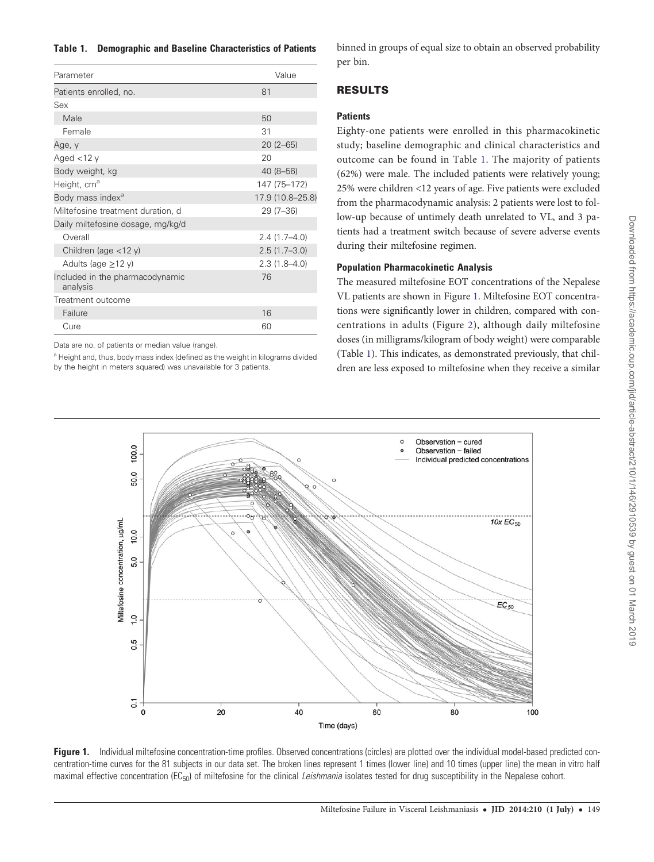#### <span id="page-3-0"></span>Table 1. Demographic and Baseline Characteristics of Patients

| Parameter                                   | Value            |
|---------------------------------------------|------------------|
| Patients enrolled, no.                      | 81               |
| Sex                                         |                  |
| Male                                        | 50               |
| Female                                      | 31               |
| Age, y                                      | $20(2-65)$       |
| Aged $<$ 12 y                               | 20               |
| Body weight, kg                             | 40 (8-56)        |
| Height, cm <sup>a</sup>                     | 147 (75-172)     |
| Body mass index <sup>a</sup>                | 17.9 (10.8-25.8) |
| Miltefosine treatment duration, d           | $29(7-36)$       |
| Daily miltefosine dosage, mg/kg/d           |                  |
| Overall                                     | $2.4(1.7 - 4.0)$ |
| Children (age $<$ 12 y)                     | $2.5(1.7-3.0)$   |
| Adults (age $\geq$ 12 y)                    | $2.3(1.8 - 4.0)$ |
| Included in the pharmacodynamic<br>analysis | 76               |
| Treatment outcome                           |                  |
| Failure                                     | 16               |
| Cure                                        | 60               |

Data are no. of patients or median value (range).

<sup>a</sup> Height and, thus, body mass index (defined as the weight in kilograms divided by the height in meters squared) was unavailable for 3 patients.

binned in groups of equal size to obtain an observed probability per bin.

# RESULTS

## **Patients**

Eighty-one patients were enrolled in this pharmacokinetic study; baseline demographic and clinical characteristics and outcome can be found in Table 1. The majority of patients (62%) were male. The included patients were relatively young; 25% were children <12 years of age. Five patients were excluded from the pharmacodynamic analysis: 2 patients were lost to follow-up because of untimely death unrelated to VL, and 3 patients had a treatment switch because of severe adverse events during their miltefosine regimen.

# Population Pharmacokinetic Analysis

The measured miltefosine EOT concentrations of the Nepalese VL patients are shown in Figure 1. Miltefosine EOT concentrations were significantly lower in children, compared with concentrations in adults (Figure [2\)](#page-4-0), although daily miltefosine doses (in milligrams/kilogram of body weight) were comparable (Table 1). This indicates, as demonstrated previously, that children are less exposed to miltefosine when they receive a similar



Figure 1. Individual miltefosine concentration-time profiles. Observed concentrations (circles) are plotted over the individual model-based predicted concentration-time curves for the 81 subjects in our data set. The broken lines represent 1 times (lower line) and 10 times (upper line) the mean in vitro half maximal effective concentration ( $EC_{50}$ ) of miltefosine for the clinical Leishmania isolates tested for drug susceptibility in the Nepalese cohort.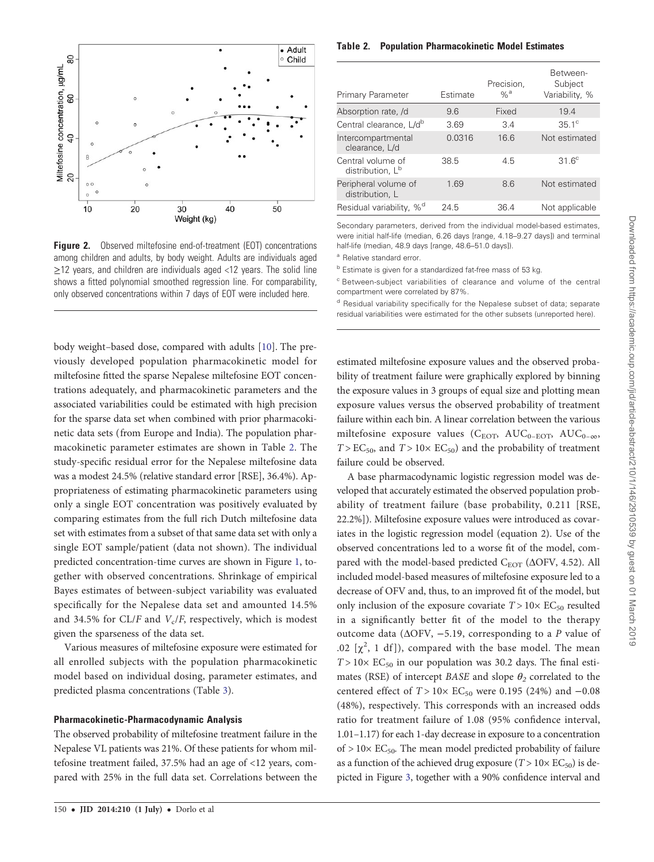<span id="page-4-0"></span>

Figure 2. Observed miltefosine end-of-treatment (EOT) concentrations among children and adults, by body weight. Adults are individuals aged ≥12 years, and children are individuals aged <12 years. The solid line shows a fitted polynomial smoothed regression line. For comparability, only observed concentrations within 7 days of EOT were included here.

body weight–based dose, compared with adults [[10\]](#page-7-0). The previously developed population pharmacokinetic model for miltefosine fitted the sparse Nepalese miltefosine EOT concentrations adequately, and pharmacokinetic parameters and the associated variabilities could be estimated with high precision for the sparse data set when combined with prior pharmacokinetic data sets (from Europe and India). The population pharmacokinetic parameter estimates are shown in Table 2. The study-specific residual error for the Nepalese miltefosine data was a modest 24.5% (relative standard error [RSE], 36.4%). Appropriateness of estimating pharmacokinetic parameters using only a single EOT concentration was positively evaluated by comparing estimates from the full rich Dutch miltefosine data set with estimates from a subset of that same data set with only a single EOT sample/patient (data not shown). The individual predicted concentration-time curves are shown in Figure [1](#page-3-0), together with observed concentrations. Shrinkage of empirical Bayes estimates of between-subject variability was evaluated specifically for the Nepalese data set and amounted 14.5% and 34.5% for CL/F and  $V_c$ /F, respectively, which is modest given the sparseness of the data set.

Various measures of miltefosine exposure were estimated for all enrolled subjects with the population pharmacokinetic model based on individual dosing, parameter estimates, and predicted plasma concentrations (Table [3\)](#page-5-0).

#### Pharmacokinetic-Pharmacodynamic Analysis

The observed probability of miltefosine treatment failure in the Nepalese VL patients was 21%. Of these patients for whom miltefosine treatment failed, 37.5% had an age of <12 years, compared with 25% in the full data set. Correlations between the

Table 2. Population Pharmacokinetic Model Estimates

| Primary Parameter                                 | Estimate | Precision.<br>$\%$ <sup>a</sup> | Between-<br>Subject<br>Variability, % |
|---------------------------------------------------|----------|---------------------------------|---------------------------------------|
| Absorption rate, /d                               | 9.6      | Fixed                           | 19.4                                  |
| Central clearance, L/d <sup>b</sup>               | 3.69     | 3.4                             | $35.1^\circ$                          |
| Intercompartmental<br>clearance, L/d              | 0.0316   | 16.6                            | Not estimated                         |
| Central volume of<br>distribution, L <sup>b</sup> | 38.5     | 4.5                             | $31.6^\circ$                          |
| Peripheral volume of<br>distribution, L           | 1.69     | 8.6                             | Not estimated                         |
| $%^d$<br>Residual variability,                    | 24.5     | 36.4                            | Not applicable                        |

Secondary parameters, derived from the individual model-based estimates, were initial half-life (median, 6.26 days [range, 4.18–9.27 days]) and terminal half-life (median, 48.9 days [range, 48.6–51.0 days]).

<sup>a</sup> Relative standard error.

b Estimate is given for a standardized fat-free mass of 53 kg.

<sup>c</sup> Between-subject variabilities of clearance and volume of the central compartment were correlated by 87%.

<sup>d</sup> Residual variability specifically for the Nepalese subset of data; separate residual variabilities were estimated for the other subsets (unreported here).

estimated miltefosine exposure values and the observed probability of treatment failure were graphically explored by binning the exposure values in 3 groups of equal size and plotting mean exposure values versus the observed probability of treatment failure within each bin. A linear correlation between the various miltefosine exposure values (C<sub>EOT</sub>, AUC<sub>0–EOT</sub>, AUC<sub>0–∞</sub>,  $T > EC<sub>50</sub>$ , and  $T > 10 \times EC<sub>50</sub>$ ) and the probability of treatment failure could be observed.

A base pharmacodynamic logistic regression model was developed that accurately estimated the observed population probability of treatment failure (base probability, 0.211 [RSE, 22.2%]). Miltefosine exposure values were introduced as covariates in the logistic regression model (equation 2). Use of the observed concentrations led to a worse fit of the model, compared with the model-based predicted  $C_{\text{EOT}}$  ( $\Delta$ OFV, 4.52). All included model-based measures of miltefosine exposure led to a decrease of OFV and, thus, to an improved fit of the model, but only inclusion of the exposure covariate  $T > 10 \times EC_{50}$  resulted in a significantly better fit of the model to the therapy outcome data ( $\triangle$ OFV, -5.19, corresponding to a P value of .02  $[\chi^2$ , 1 df]), compared with the base model. The mean  $T > 10 \times EC_{50}$  in our population was 30.2 days. The final estimates (RSE) of intercept BASE and slope  $\theta_2$  correlated to the centered effect of  $T > 10 \times EC_{50}$  were 0.195 (24%) and −0.08 (48%), respectively. This corresponds with an increased odds ratio for treatment failure of 1.08 (95% confidence interval, 1.01–1.17) for each 1-day decrease in exposure to a concentration of  $> 10\times$  EC<sub>50</sub>. The mean model predicted probability of failure as a function of the achieved drug exposure ( $T > 10 \times EC_{50}$ ) is depicted in Figure [3,](#page-5-0) together with a 90% confidence interval and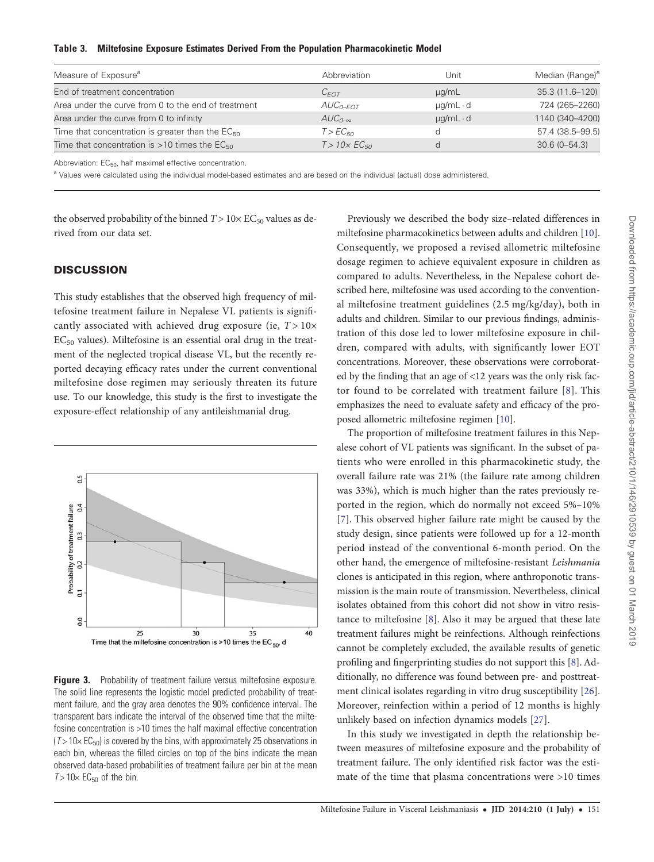<span id="page-5-0"></span>

|  |  | Table 3. Miltefosine Exposure Estimates Derived From the Population Pharmacokinetic Model |
|--|--|-------------------------------------------------------------------------------------------|
|  |  |                                                                                           |

| Measure of Exposure <sup>a</sup>                            | Abbreviation            | Unit               | Median (Range) <sup>a</sup> |
|-------------------------------------------------------------|-------------------------|--------------------|-----------------------------|
| End of treatment concentration                              | $C_{FOT}$               | $\mu$ g/mL         | 35.3 (11.6-120)             |
| Area under the curve from 0 to the end of treatment         | $AUC_{0-FOT}$           | $\mu q/mL \cdot d$ | 724 (265-2260)              |
| Area under the curve from 0 to infinity                     | $AUC_{0-\infty}$        | $\mu q/mL \cdot d$ | 1140 (340-4200)             |
| Time that concentration is greater than the $EC_{50}$       | T > EC <sub>50</sub>    |                    | 57.4 (38.5-99.5)            |
| Time that concentration is $>10$ times the EC <sub>50</sub> | $T > 10 \times EC_{50}$ | d                  | $30.6(0 - 54.3)$            |

Abbreviation:  $EC_{50}$ , half maximal effective concentration.

a Values were calculated using the individual model-based estimates and are based on the individual (actual) dose administered.

the observed probability of the binned  $T > 10 \times EC_{50}$  values as derived from our data set.

## **DISCUSSION**

This study establishes that the observed high frequency of miltefosine treatment failure in Nepalese VL patients is significantly associated with achieved drug exposure (ie,  $T > 10 \times$  $EC_{50}$  values). Miltefosine is an essential oral drug in the treatment of the neglected tropical disease VL, but the recently reported decaying efficacy rates under the current conventional miltefosine dose regimen may seriously threaten its future use. To our knowledge, this study is the first to investigate the exposure-effect relationship of any antileishmanial drug.



Figure 3. Probability of treatment failure versus miltefosine exposure. The solid line represents the logistic model predicted probability of treatment failure, and the gray area denotes the 90% confidence interval. The transparent bars indicate the interval of the observed time that the miltefosine concentration is >10 times the half maximal effective concentration  $(T > 10 \times EC_{50})$  is covered by the bins, with approximately 25 observations in each bin, whereas the filled circles on top of the bins indicate the mean observed data-based probabilities of treatment failure per bin at the mean  $T > 10 \times EC_{50}$  of the bin.

Previously we described the body size–related differences in miltefosine pharmacokinetics between adults and children [\[10\]](#page-7-0). Consequently, we proposed a revised allometric miltefosine dosage regimen to achieve equivalent exposure in children as compared to adults. Nevertheless, in the Nepalese cohort described here, miltefosine was used according to the conventional miltefosine treatment guidelines (2.5 mg/kg/day), both in adults and children. Similar to our previous findings, administration of this dose led to lower miltefosine exposure in children, compared with adults, with significantly lower EOT concentrations. Moreover, these observations were corroborated by the finding that an age of <12 years was the only risk factor found to be correlated with treatment failure [[8\]](#page-6-0). This emphasizes the need to evaluate safety and efficacy of the proposed allometric miltefosine regimen [[10\]](#page-7-0).

The proportion of miltefosine treatment failures in this Nepalese cohort of VL patients was significant. In the subset of patients who were enrolled in this pharmacokinetic study, the overall failure rate was 21% (the failure rate among children was 33%), which is much higher than the rates previously reported in the region, which do normally not exceed 5%–10% [\[7\]](#page-6-0). This observed higher failure rate might be caused by the study design, since patients were followed up for a 12-month period instead of the conventional 6-month period. On the other hand, the emergence of miltefosine-resistant Leishmania clones is anticipated in this region, where anthroponotic transmission is the main route of transmission. Nevertheless, clinical isolates obtained from this cohort did not show in vitro resistance to miltefosine [\[8\]](#page-6-0). Also it may be argued that these late treatment failures might be reinfections. Although reinfections cannot be completely excluded, the available results of genetic profiling and fingerprinting studies do not support this [[8](#page-6-0)]. Additionally, no difference was found between pre- and posttreatment clinical isolates regarding in vitro drug susceptibility [\[26\]](#page-7-0). Moreover, reinfection within a period of 12 months is highly unlikely based on infection dynamics models [[27\]](#page-7-0).

In this study we investigated in depth the relationship between measures of miltefosine exposure and the probability of treatment failure. The only identified risk factor was the estimate of the time that plasma concentrations were >10 times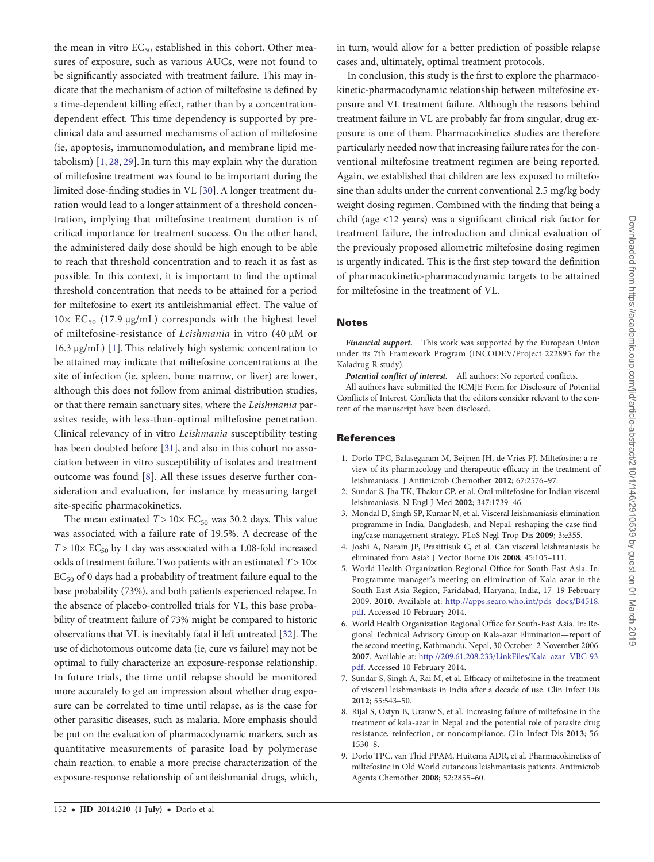Downloaded from https://academic.oup.com/jid/article-abstract/210/1/146/2910539 by guest on 01 March 2019 Downloaded from https://academic.oup.com/jid/article-abstract/210/1/146/2910539 by guest on 01 March 2019

<span id="page-6-0"></span>the mean in vitro  $EC_{50}$  established in this cohort. Other measures of exposure, such as various AUCs, were not found to be significantly associated with treatment failure. This may indicate that the mechanism of action of miltefosine is defined by a time-dependent killing effect, rather than by a concentrationdependent effect. This time dependency is supported by preclinical data and assumed mechanisms of action of miltefosine (ie, apoptosis, immunomodulation, and membrane lipid metabolism) [1, [28](#page-7-0), [29](#page-7-0)]. In turn this may explain why the duration of miltefosine treatment was found to be important during the limited dose-finding studies in VL [[30](#page-7-0)]. A longer treatment duration would lead to a longer attainment of a threshold concentration, implying that miltefosine treatment duration is of critical importance for treatment success. On the other hand, the administered daily dose should be high enough to be able to reach that threshold concentration and to reach it as fast as possible. In this context, it is important to find the optimal threshold concentration that needs to be attained for a period for miltefosine to exert its antileishmanial effect. The value of  $10\times$  EC<sub>50</sub> (17.9 µg/mL) corresponds with the highest level of miltefosine-resistance of Leishmania in vitro (40 µM or 16.3 µg/mL) [1]. This relatively high systemic concentration to be attained may indicate that miltefosine concentrations at the site of infection (ie, spleen, bone marrow, or liver) are lower, although this does not follow from animal distribution studies, or that there remain sanctuary sites, where the Leishmania parasites reside, with less-than-optimal miltefosine penetration. Clinical relevancy of in vitro Leishmania susceptibility testing has been doubted before [\[31](#page-7-0)], and also in this cohort no association between in vitro susceptibility of isolates and treatment outcome was found [8]. All these issues deserve further consideration and evaluation, for instance by measuring target site-specific pharmacokinetics. The mean estimated  $T > 10 \times EC_{50}$  was 30.2 days. This value

was associated with a failure rate of 19.5%. A decrease of the  $T > 10 \times EC_{50}$  by 1 day was associated with a 1.08-fold increased odds of treatment failure. Two patients with an estimated  $T > 10 \times$  $EC_{50}$  of 0 days had a probability of treatment failure equal to the base probability (73%), and both patients experienced relapse. In the absence of placebo-controlled trials for VL, this base probability of treatment failure of 73% might be compared to historic observations that VL is inevitably fatal if left untreated [[32](#page-7-0)]. The use of dichotomous outcome data (ie, cure vs failure) may not be optimal to fully characterize an exposure-response relationship. In future trials, the time until relapse should be monitored more accurately to get an impression about whether drug exposure can be correlated to time until relapse, as is the case for other parasitic diseases, such as malaria. More emphasis should be put on the evaluation of pharmacodynamic markers, such as quantitative measurements of parasite load by polymerase chain reaction, to enable a more precise characterization of the exposure-response relationship of antileishmanial drugs, which, in turn, would allow for a better prediction of possible relapse cases and, ultimately, optimal treatment protocols.

In conclusion, this study is the first to explore the pharmacokinetic-pharmacodynamic relationship between miltefosine exposure and VL treatment failure. Although the reasons behind treatment failure in VL are probably far from singular, drug exposure is one of them. Pharmacokinetics studies are therefore particularly needed now that increasing failure rates for the conventional miltefosine treatment regimen are being reported. Again, we established that children are less exposed to miltefosine than adults under the current conventional 2.5 mg/kg body weight dosing regimen. Combined with the finding that being a child (age <12 years) was a significant clinical risk factor for treatment failure, the introduction and clinical evaluation of the previously proposed allometric miltefosine dosing regimen is urgently indicated. This is the first step toward the definition of pharmacokinetic-pharmacodynamic targets to be attained for miltefosine in the treatment of VL.

#### Notes

Financial support. This work was supported by the European Union under its 7th Framework Program (INCODEV/Project 222895 for the Kaladrug-R study).

Potential conflict of interest. All authors: No reported conflicts.

All authors have submitted the ICMJE Form for Disclosure of Potential Conflicts of Interest. Conflicts that the editors consider relevant to the content of the manuscript have been disclosed.

#### References

- 1. Dorlo TPC, Balasegaram M, Beijnen JH, de Vries PJ. Miltefosine: a review of its pharmacology and therapeutic efficacy in the treatment of leishmaniasis. J Antimicrob Chemother 2012; 67:2576–97.
- 2. Sundar S, Jha TK, Thakur CP, et al. Oral miltefosine for Indian visceral leishmaniasis. N Engl J Med 2002; 347:1739–46.
- 3. Mondal D, Singh SP, Kumar N, et al. Visceral leishmaniasis elimination programme in India, Bangladesh, and Nepal: reshaping the case finding/case management strategy. PLoS Negl Trop Dis 2009; 3:e355.
- 4. Joshi A, Narain JP, Prasittisuk C, et al. Can visceral leishmaniasis be eliminated from Asia? J Vector Borne Dis 2008; 45:105–111.
- 5. World Health Organization Regional Office for South-East Asia. In: Programme manager's meeting on elimination of Kala-azar in the South-East Asia Region, Faridabad, Haryana, India, 17–19 February 2009. 2010. Available at: [http://apps.searo.who.int/pds\\_docs/B4518.](http://apps.searo.who.int/pds_docs/B4518.pdf) [pdf](http://apps.searo.who.int/pds_docs/B4518.pdf). Accessed 10 February 2014.
- 6. World Health Organization Regional Office for South-East Asia. In: Regional Technical Advisory Group on Kala-azar Elimination—report of the second meeting, Kathmandu, Nepal, 30 October–2 November 2006. 2007. Available at: [http://209.61.208.233/LinkFiles/Kala\\_azar\\_VBC-93.](http://209.61.208.233/LinkFiles/Kala_azar_VBC-93.pdf) [pdf](http://209.61.208.233/LinkFiles/Kala_azar_VBC-93.pdf). Accessed 10 February 2014.
- 7. Sundar S, Singh A, Rai M, et al. Efficacy of miltefosine in the treatment of visceral leishmaniasis in India after a decade of use. Clin Infect Dis 2012; 55:543–50.
- 8. Rijal S, Ostyn B, Uranw S, et al. Increasing failure of miltefosine in the treatment of kala-azar in Nepal and the potential role of parasite drug resistance, reinfection, or noncompliance. Clin Infect Dis 2013; 56: 1530–8.
- 9. Dorlo TPC, van Thiel PPAM, Huitema ADR, et al. Pharmacokinetics of miltefosine in Old World cutaneous leishmaniasis patients. Antimicrob Agents Chemother 2008; 52:2855–60.